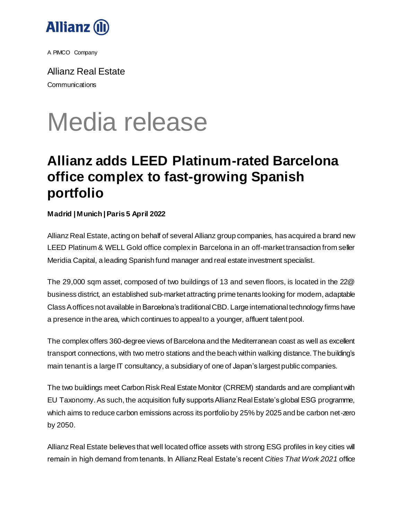

Allianz Real Estate **Communications** 

# Media release

### **Allianz adds LEED Platinum-rated Barcelona office complex to fast-growing Spanish portfolio**

### **Madrid | Munich | Paris 5 April 2022**

Allianz Real Estate, acting on behalf of several Allianz group companies, has acquired a brand new LEED Platinum & WELL Gold office complex in Barcelona in an off-market transaction from seller Meridia Capital, a leading Spanish fund manager and real estate investment specialist.

The 29,000 sqm asset, composed of two buildings of 13 and seven floors, is located in the 22@ business district, an established sub-market attracting prime tenants looking for modern, adaptable Class A offices not available in Barcelona's traditional CBD. Large international technology firms have a presence in the area, which continues to appeal to a younger, affluent talent pool.

The complex offers 360-degree views of Barcelona and the Mediterranean coast as well as excellent transport connections, with two metro stations and the beach within walking distance. The building's main tenant is a large IT consultancy, a subsidiary of one of Japan's largest public companies.

The two buildings meet Carbon Risk Real Estate Monitor (CRREM) standards and are compliant with EU Taxonomy. As such, the acquisition fully supports Allianz Real Estate's global ESG programme, which aims to reduce carbon emissions across its portfolio by 25% by 2025 and be carbon net-zero by 2050.

Allianz Real Estate believes that well located office assets with strong ESG profiles in key cities will remain in high demand from tenants. In Allianz Real Estate's recent *Cities That Work 2021* office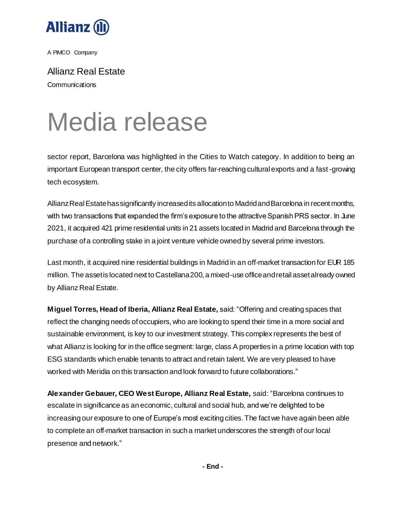

Allianz Real Estate **Communications** 

# Media release

sector report, Barcelona was highlighted in the Cities to Watch category. In addition to being an important European transport center, the city offers far-reaching cultural exports and a fast -growing tech ecosystem.

Allianz Real Estate has significantly increased its allocationto Madrid and Barcelona in recent months, with two transactions that expanded the firm's exposure to the attractive Spanish PRS sector. In June 2021, it acquired 421 prime residential units in 21 assets located in Madrid and Barcelona through the purchase of a controlling stake in a joint venture vehicle owned by several prime investors.

Last month, it acquired nine residential buildings in Madrid in an off-market transaction for EUR 185 million. The asset is located next to Castellana 200, a mixed-use office and retail asset already owned by Allianz Real Estate.

**Miguel Torres, Head of Iberia, Allianz Real Estate,** said: "Offering and creating spaces that reflect the changing needs of occupiers, who are looking to spend their time in a more social and sustainable environment, is key to our investment strategy. This complex represents the best of what Allianz is looking for in the office segment: large, class A properties in a prime location with top ESG standards which enable tenants to attract and retain talent. We are very pleased to have worked with Meridia on this transaction and look forward to future collaborations."

**Alexander Gebauer, CEO West Europe, Allianz Real Estate,** said: "Barcelona continues to escalate in significance as an economic, cultural and social hub, and we're delighted to be increasing our exposure to one of Europe's most exciting cities.The fact we have again been able to complete an off-market transaction in such a market underscores the strength of our local presence and network."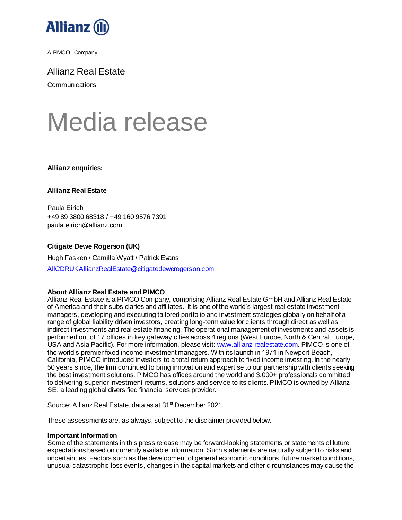

Allianz Real Estate

**Communications** 

### Media release

**Allianz enquiries:**

#### **Allianz Real Estate**

Paula Eirich +49 89 3800 68318 / +49 160 9576 7391 paula.eirich@allianz.com

#### **Citigate Dewe Rogerson (UK)**

Hugh Fasken / Camilla Wyatt / Patrick Evans [AllCDRUKAllianzRealEstate@citigatedewerogerson.com](mailto:AllCDRUKAllianzRealEstate@citigatedewerogerson.com)

#### **About Allianz Real Estate and PIMCO**

Allianz Real Estate is a PIMCO Company, comprising Allianz Real Estate GmbH and Allianz Real Estate of America and their subsidiaries and affiliates. It is one of the world's largest real estate investment managers, developing and executing tailored portfolio and investment strategies globally on behalf of a range of global liability driven investors, creating long-term value for clients through direct as well as indirect investments and real estate financing. The operational management of investments and assets is performed out of 17 offices in key gateway cities across 4 regions (West Europe, North & Central Europe, USA and Asia Pacific). For more information, please visit[: www.allianz-realestate.com](http://www.allianz-realestate.com/). PIMCO is one of the world's premier fixed income investment managers. With its launch in 1971 in Newport Beach, California, PIMCO introduced investors to a total return approach to fixed income investing. In the nearly 50 years since, the firm continued to bring innovation and expertise to our partnership with clients seeking the best investment solutions. PIMCO has offices around the world and 3,000+ professionals committed to delivering superior investment returns, solutions and service to its clients. PIMCO is owned by Allianz SE, a leading global diversified financial services provider.

Source: Allianz Real Estate, data as at 31<sup>st</sup> December 2021.

These assessments are, as always, subject to the disclaimer provided below.

#### **Important Information**

Some of the statements in this press release may be forward-looking statements or statements of future expectations based on currently available information. Such statements are naturally subject to risks and uncertainties. Factors such as the development of general economic conditions, future market conditions, unusual catastrophic loss events, changes in the capital markets and other circumstances may cause the